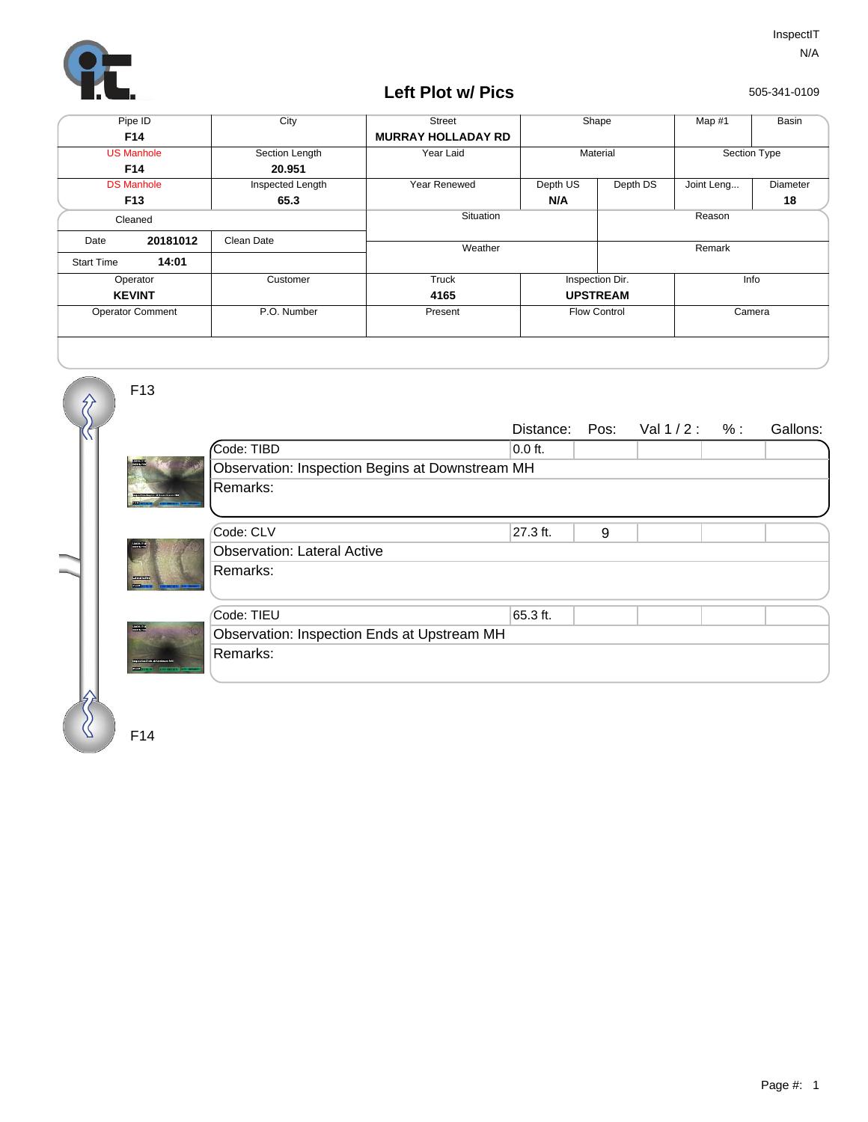

## **Left Plot w/ Pics**

505-341-0109

| Pipe ID                 |          | City             | <b>Street</b>             | Shape               |          | Map #1       | Basin    |  |
|-------------------------|----------|------------------|---------------------------|---------------------|----------|--------------|----------|--|
| F14                     |          |                  | <b>MURRAY HOLLADAY RD</b> |                     |          |              |          |  |
| <b>US Manhole</b>       |          | Section Length   | Year Laid                 | Material            |          | Section Type |          |  |
| F14                     |          | 20.951           |                           |                     |          |              |          |  |
| <b>DS Manhole</b>       |          | Inspected Length | Year Renewed              | Depth US            | Depth DS | Joint Leng   | Diameter |  |
| F <sub>13</sub>         |          | 65.3             |                           | N/A                 |          |              | 18       |  |
| Cleaned                 |          |                  | Situation                 |                     | Reason   |              |          |  |
| Date                    | 20181012 | Clean Date       | Weather                   |                     |          | Remark       |          |  |
| <b>Start Time</b>       | 14:01    |                  |                           |                     |          |              |          |  |
| Operator                |          | Customer         | Truck                     | Inspection Dir.     |          | Info         |          |  |
| <b>KEVINT</b>           |          |                  | 4165                      | <b>UPSTREAM</b>     |          |              |          |  |
| <b>Operator Comment</b> |          | P.O. Number      | Present                   | <b>Flow Control</b> |          | Camera       |          |  |
|                         |          |                  |                           |                     |          |              |          |  |

F13

 $\hat{\mathcal{R}}$ 

|                                                     |                                                 | Distance: | Pos: | Val $1/2: %$ |  | Gallons: |  |  |  |  |
|-----------------------------------------------------|-------------------------------------------------|-----------|------|--------------|--|----------|--|--|--|--|
| <b>Read</b>                                         | Code: TIBD                                      | $0.0$ ft. |      |              |  |          |  |  |  |  |
|                                                     | Observation: Inspection Begins at Downstream MH |           |      |              |  |          |  |  |  |  |
|                                                     | Remarks:                                        |           |      |              |  |          |  |  |  |  |
| <b>DISTURBAN</b><br><b>BENZING</b><br><b>BARNET</b> | Code: CLV                                       | 27.3 ft.  | 9    |              |  |          |  |  |  |  |
|                                                     | <b>Observation: Lateral Active</b>              |           |      |              |  |          |  |  |  |  |
|                                                     | Remarks:                                        |           |      |              |  |          |  |  |  |  |
|                                                     | Code: TIEU                                      | 65.3 ft.  |      |              |  |          |  |  |  |  |
| $\frac{\text{maxmax}}{\text{maxmax}}$               | Observation: Inspection Ends at Upstream MH     |           |      |              |  |          |  |  |  |  |
|                                                     | Remarks:                                        |           |      |              |  |          |  |  |  |  |
|                                                     |                                                 |           |      |              |  |          |  |  |  |  |

F14

 $\%$